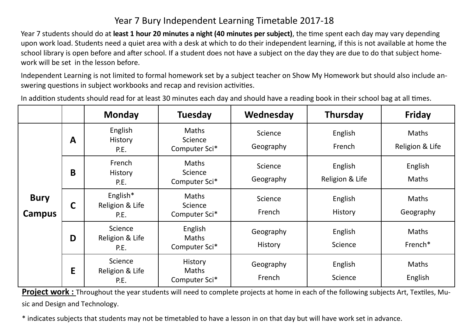## Year 7 Bury Independent Learning Timetable 2017-18

Year 7 students should do at **least 1 hour 20 minutes a night (40 minutes per subject)**, the time spent each day may vary depending upon work load. Students need a quiet area with a desk at which to do their independent learning, if this is not available at home the school library is open before and after school. If a student does not have a subject on the day they are due to do that subject homework will be set in the lesson before.

Independent Learning is not limited to formal homework set by a subject teacher on Show My Homework but should also include answering questions in subject workbooks and recap and revision activities.

In addition students should read for at least 30 minutes each day and should have a reading book in their school bag at all times.

|                              |   | <b>Monday</b>                       | <b>Tuesday</b>                                  | Wednesday            | <b>Thursday</b>            | <b>Friday</b>                   |
|------------------------------|---|-------------------------------------|-------------------------------------------------|----------------------|----------------------------|---------------------------------|
| <b>Bury</b><br><b>Campus</b> | A | English<br><b>History</b><br>P.E.   | <b>Maths</b><br>Science<br>Computer Sci*        | Science<br>Geography | English<br>French          | <b>Maths</b><br>Religion & Life |
|                              | B | French<br><b>History</b><br>P.E.    | <b>Maths</b><br>Science<br>Computer Sci*        | Science<br>Geography | English<br>Religion & Life | English<br><b>Maths</b>         |
|                              | C | English*<br>Religion & Life<br>P.E. | <b>Maths</b><br>Science<br>Computer Sci*        | Science<br>French    | English<br>History         | Maths<br>Geography              |
|                              | D | Science<br>Religion & Life<br>P.E.  | English<br><b>Maths</b><br>Computer Sci*        | Geography<br>History | English<br>Science         | <b>Maths</b><br>French*         |
|                              | E | Science<br>Religion & Life<br>P.E.  | <b>History</b><br><b>Maths</b><br>Computer Sci* | Geography<br>French  | English<br>Science         | <b>Maths</b><br>English         |

**Project work :** Throughout the year students will need to complete projects at home in each of the following subjects Art, Textiles, Music and Design and Technology.

\* indicates subjects that students may not be timetabled to have a lesson in on that day but will have work set in advance.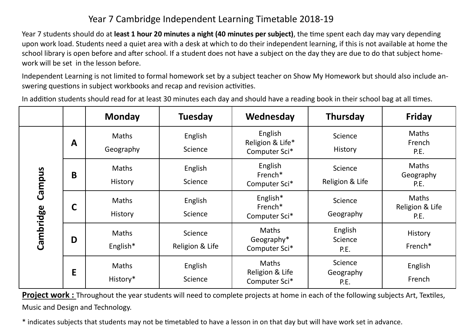## Year 7 Cambridge Independent Learning Timetable 2018-19

Year 7 students should do at **least 1 hour 20 minutes a night (40 minutes per subject)**, the time spent each day may vary depending upon work load. Students need a quiet area with a desk at which to do their independent learning, if this is not available at home the school library is open before and after school. If a student does not have a subject on the day they are due to do that subject homework will be set in the lesson before.

Independent Learning is not limited to formal homework set by a subject teacher on Show My Homework but should also include answering questions in subject workbooks and recap and revision activities.

In addition students should read for at least 30 minutes each day and should have a reading book in their school bag at all times.

|                                                                                                                                                                               |              | <b>Monday</b>           | <b>Tuesday</b>             | Wednesday                                    | <b>Thursday</b>              | <b>Friday</b>                    |
|-------------------------------------------------------------------------------------------------------------------------------------------------------------------------------|--------------|-------------------------|----------------------------|----------------------------------------------|------------------------------|----------------------------------|
| Campus<br>Cambridge                                                                                                                                                           | $\mathbf{A}$ | Maths<br>Geography      | English<br>Science         | English<br>Religion & Life*<br>Computer Sci* | Science<br>History           | Maths<br>French<br>P.E.          |
|                                                                                                                                                                               | B            | Maths<br>History        | English<br>Science         | English<br>French*<br>Computer Sci*          | Science<br>Religion & Life   | Maths<br>Geography<br>P.E.       |
|                                                                                                                                                                               | $\mathsf{C}$ | Maths<br><b>History</b> | English<br>Science         | English*<br>French*<br>Computer Sci*         | Science<br>Geography         | Maths<br>Religion & Life<br>P.E. |
|                                                                                                                                                                               | D            | Maths<br>English*       | Science<br>Religion & Life | Maths<br>Geography*<br>Computer Sci*         | English<br>Science<br>P.E.   | History<br>French*               |
|                                                                                                                                                                               | E            | Maths<br>History*       | English<br>Science         | Maths<br>Religion & Life<br>Computer Sci*    | Science<br>Geography<br>P.E. | English<br>French                |
| <b>Project work:</b> Throughout the year students will need to complete projects at home in each of the following subjects Art, Textiles,<br>Music and Design and Technology. |              |                         |                            |                                              |                              |                                  |
| * indicates subjects that students may not be timetabled to have a lesson in on that day but will have work set in advance.                                                   |              |                         |                            |                                              |                              |                                  |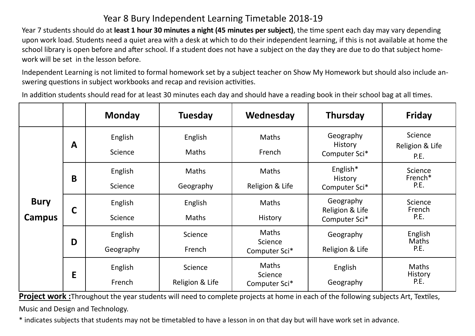## Year 8 Bury Independent Learning Timetable 2018-19

Year 7 students should do at **least 1 hour 30 minutes a night (45 minutes per subject)**, the time spent each day may vary depending upon work load. Students need a quiet area with a desk at which to do their independent learning, if this is not available at home the school library is open before and after school. If a student does not have a subject on the day they are due to do that subject homework will be set in the lesson before.

Independent Learning is not limited to formal homework set by a subject teacher on Show My Homework but should also include answering questions in subject workbooks and recap and revision activities.

In addition students should read for at least 30 minutes each day and should have a reading book in their school bag at all times.

|                       |              | <b>Monday</b>        | <b>Tuesday</b>             | Wednesday                                | <b>Thursday</b>                               | <b>Friday</b>                          |
|-----------------------|--------------|----------------------|----------------------------|------------------------------------------|-----------------------------------------------|----------------------------------------|
| <b>Bury</b><br>Campus | $\mathbf{A}$ | English<br>Science   | English<br><b>Maths</b>    | Maths<br>French                          | Geography<br>History<br>Computer Sci*         | Science<br>Religion & Life<br>P.E.     |
|                       | B            | English<br>Science   | <b>Maths</b><br>Geography  | Maths<br>Religion & Life                 | English*<br>History<br>Computer Sci*          | Science<br>French*<br>P.E.             |
|                       | $\mathsf{C}$ | English<br>Science   | English<br><b>Maths</b>    | Maths<br>History                         | Geography<br>Religion & Life<br>Computer Sci* | Science<br>French<br>P.E.              |
|                       | D            | English<br>Geography | Science<br>French          | <b>Maths</b><br>Science<br>Computer Sci* | Geography<br>Religion & Life                  | English<br><b>Maths</b><br>P.E.        |
|                       | E            | English<br>French    | Science<br>Religion & Life | Maths<br>Science<br>Computer Sci*        | English<br>Geography                          | <b>Maths</b><br><b>History</b><br>P.E. |

**Project work :**Throughout the year students will need to complete projects at home in each of the following subjects Art, Textiles, Music and Design and Technology.

\* indicates subjects that students may not be timetabled to have a lesson in on that day but will have work set in advance.